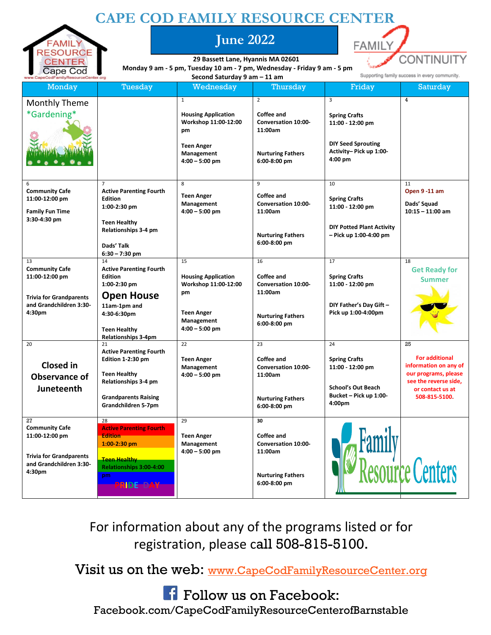## **CAPE COD FAMILY RESOURCE CENTER**



**June 2022**



**29 Bassett Lane, Hyannis MA 02601 Monday 9 am - 5 pm, Tuesday 10 am - 7 pm, Wednesday - Friday 9 am - 5 pm Second Saturday 9 am – 11 am**

| Uapo Oou<br>www.CapeCodFamilyResourceCenter.org                                                                      |                                                                                                                                                                                 | Second Saturday 9 am - 11 am                                                                                                    |                                                                                                                   | Supporting family success in every community.                                                                    |                                                                                                                                            |
|----------------------------------------------------------------------------------------------------------------------|---------------------------------------------------------------------------------------------------------------------------------------------------------------------------------|---------------------------------------------------------------------------------------------------------------------------------|-------------------------------------------------------------------------------------------------------------------|------------------------------------------------------------------------------------------------------------------|--------------------------------------------------------------------------------------------------------------------------------------------|
| <b>Monday</b>                                                                                                        | Tuesday                                                                                                                                                                         | Wednesday                                                                                                                       | Thursday                                                                                                          | Friday                                                                                                           | Saturday                                                                                                                                   |
| Monthly Theme<br>*Gardening*                                                                                         |                                                                                                                                                                                 | $\mathbf{1}$<br><b>Housing Application</b><br>Workshop 11:00-12:00<br>pm<br><b>Teen Anger</b><br>Management<br>$4:00 - 5:00$ pm | $\overline{2}$<br>Coffee and<br><b>Conversation 10:00-</b><br>11:00am<br><b>Nurturing Fathers</b><br>6:00-8:00 pm | 3<br><b>Spring Crafts</b><br>11:00 - 12:00 pm<br><b>DIY Seed Sprouting</b><br>Activity- Pick up 1:00-<br>4:00 pm | $\overline{4}$                                                                                                                             |
| 6<br><b>Community Cafe</b><br>11:00-12:00 pm<br><b>Family Fun Time</b><br>3:30-4:30 pm                               | $\overline{7}$<br><b>Active Parenting Fourth</b><br><b>Edition</b><br>1:00-2:30 pm<br><b>Teen Healthy</b><br>Relationships 3-4 pm<br>Dads' Talk<br>$6:30 - 7:30$ pm             | 8<br><b>Teen Anger</b><br>Management<br>$4:00 - 5:00$ pm                                                                        | 9<br>Coffee and<br><b>Conversation 10:00-</b><br>11:00am<br><b>Nurturing Fathers</b><br>6:00-8:00 pm              | 10<br><b>Spring Crafts</b><br>11:00 - 12:00 pm<br><b>DIY Potted Plant Activity</b><br>- Pick up 1:00-4:00 pm     | 11<br>Open 9 -11 am<br>Dads' Squad<br>$10:15 - 11:00$ am                                                                                   |
| 13<br><b>Community Cafe</b><br>11:00-12:00 pm<br><b>Trivia for Grandparents</b><br>and Grandchildren 3:30-<br>4:30pm | 14<br><b>Active Parenting Fourth</b><br><b>Edition</b><br>1:00-2:30 pm<br><b>Open House</b><br>11am-1pm and<br>4:30-6:30pm<br><b>Teen Healthy</b><br><b>Relationships 3-4pm</b> | 15<br><b>Housing Application</b><br>Workshop 11:00-12:00<br>pm<br><b>Teen Anger</b><br>Management<br>$4:00 - 5:00$ pm           | 16<br>Coffee and<br><b>Conversation 10:00-</b><br>11:00am<br><b>Nurturing Fathers</b><br>6:00-8:00 pm             | 17<br><b>Spring Crafts</b><br>11:00 - 12:00 pm<br>DIY Father's Day Gift -<br>Pick up 1:00-4:00pm                 | 18<br><b>Get Ready for</b><br><b>Summer</b>                                                                                                |
| 20<br><b>Closed</b> in<br><b>Observance of</b><br>Juneteenth                                                         | 21<br><b>Active Parenting Fourth</b><br>Edition 1-2:30 pm<br><b>Teen Healthy</b><br>Relationships 3-4 pm<br><b>Grandparents Raising</b><br>Grandchildren 5-7pm                  | 22<br><b>Teen Anger</b><br>Management<br>$4:00 - 5:00$ pm                                                                       | 23<br>Coffee and<br><b>Conversation 10:00-</b><br>11:00am<br><b>Nurturing Fathers</b><br>6:00-8:00 pm             | 24<br><b>Spring Crafts</b><br>11:00 - 12:00 pm<br><b>School's Out Beach</b><br>Bucket - Pick up 1:00-<br>4:00pm  | 25<br><b>For additional</b><br>information on any of<br>our programs, please<br>see the reverse side,<br>or contact us at<br>508-815-5100. |
| 27<br><b>Community Cafe</b><br>11:00-12:00 pm<br><b>Trivia for Grandparents</b><br>and Grandchildren 3:30-<br>4:30pm | 28<br><b>Active Parenting Fourth</b><br><b>Edition</b><br>$1:00-2:30$ pm<br><b>Teen Healthy</b><br>Relationships 3:00-4:00<br>pm<br><b>PRIDE DAY</b>                            | 29<br><b>Teen Anger</b><br>Management<br>$4:00 - 5:00$ pm                                                                       | 30<br>Coffee and<br><b>Conversation 10:00-</b><br>11:00am<br><b>Nurturing Fathers</b><br>6:00-8:00 pm             |                                                                                                                  | <b>Resource Centers</b>                                                                                                                    |

For information about any of the programs listed or for registration, please call 508-815-5100.

Visit us on the web: [www.CapeCodFamilyResourceCenter.org](http://www.capecodfamilyresourcecenter.org/)

**F** Follow us on Facebook: Facebook.com/CapeCodFamilyResourceCenterofBarnstable